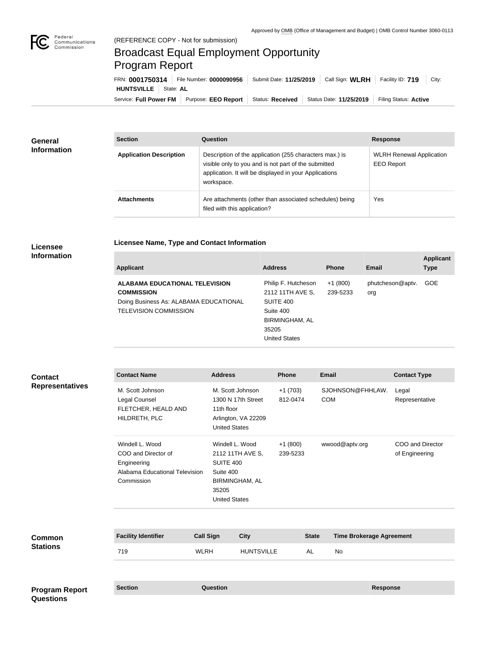

# Broadcast Equal Employment Opportunity Program Report

Service: Full Power FM Purpose: EEO Report | Status: Received | Status Date: 11/25/2019 | Filing Status: Active **HUNTSVILLE** State: **AL** FRN: **0001750314** File Number: **0000090956** Submit Date: **11/25/2019** Call Sign: **WLRH** Facility ID: **719** City:

| <b>General</b><br><b>Information</b> | <b>Section</b>                 | Question                                                                                                                                                                                | <b>Response</b>                                      |
|--------------------------------------|--------------------------------|-----------------------------------------------------------------------------------------------------------------------------------------------------------------------------------------|------------------------------------------------------|
|                                      | <b>Application Description</b> | Description of the application (255 characters max.) is<br>visible only to you and is not part of the submitted<br>application. It will be displayed in your Applications<br>workspace. | <b>WLRH Renewal Application</b><br><b>EEO Report</b> |
|                                      | <b>Attachments</b>             | Are attachments (other than associated schedules) being<br>filed with this application?                                                                                                 | Yes                                                  |

#### **Licensee Information**

### **Licensee Name, Type and Contact Information**

| <b>Applicant</b>                       | <b>Address</b>       | <b>Phone</b> | <b>Email</b>     | <b>Applicant</b><br><b>Type</b> |
|----------------------------------------|----------------------|--------------|------------------|---------------------------------|
|                                        |                      |              |                  |                                 |
| <b>ALABAMA EDUCATIONAL TELEVISION</b>  | Philip F. Hutcheson  | $+1(800)$    | phutcheson@aptv. | <b>GOE</b>                      |
| <b>COMMISSION</b>                      | 2112 11TH AVE S,     | 239-5233     | org              |                                 |
| Doing Business As: ALABAMA EDUCATIONAL | SUITE 400            |              |                  |                                 |
| <b>TELEVISION COMMISSION</b>           | Suite 400            |              |                  |                                 |
|                                        | BIRMINGHAM, AL       |              |                  |                                 |
|                                        | 35205                |              |                  |                                 |
|                                        | <b>United States</b> |              |                  |                                 |

#### **Contact Name Address Phone Email Contact Type** M. Scott Johnson Legal Counsel FLETCHER, HEALD AND HILDRETH, PLC M. Scott Johnson 1300 N 17th Street 11th floor Arlington, VA 22209 United States +1 (703) 812-0474 SJOHNSON@FHHLAW. COM Legal Representative Windell L. Wood COO and Director of Engineering Alabama Educational Television Commission Windell L. Wood 2112 11TH AVE S, SUITE 400 Suite 400 BIRMINGHAM, AL 35205 United States +1 (800) 239-5233 wwood@aptv.org COO and Director of Engineering **Facility Identifier Call Sign City State Time Brokerage Agreement** 719 WLRH HUNTSVILLE AL No **Common Stations Contact Representatives**

| <b>Program Report</b> | <b>Section</b> | Question | <b>Response</b> |
|-----------------------|----------------|----------|-----------------|
| <b>Questions</b>      |                |          |                 |